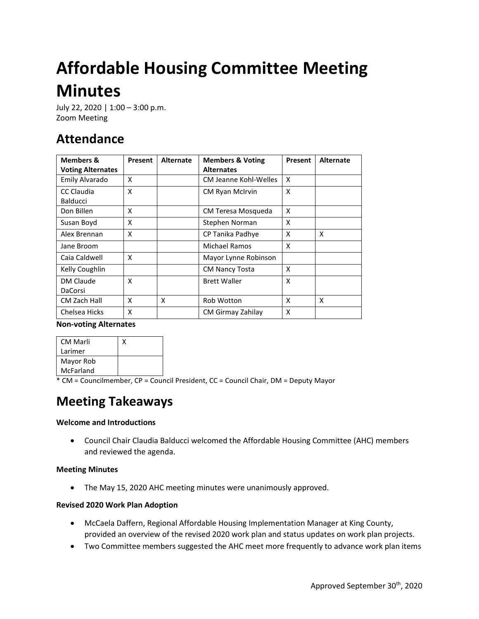# **Affordable Housing Committee Meeting Minutes**

July 22, 2020 | 1:00 – 3:00 p.m. Zoom Meeting

# **Attendance**

| <b>Members &amp;</b>     | Present | <b>Alternate</b> | <b>Members &amp; Voting</b><br><b>Alternates</b> | Present | <b>Alternate</b> |
|--------------------------|---------|------------------|--------------------------------------------------|---------|------------------|
| <b>Voting Alternates</b> |         |                  |                                                  |         |                  |
| Emily Alvarado           | x       |                  | <b>CM Jeanne Kohl-Welles</b>                     | X       |                  |
| CC Claudia               | X       |                  | <b>CM Ryan McIrvin</b>                           | X       |                  |
| Balducci                 |         |                  |                                                  |         |                  |
| Don Billen               | x       |                  | CM Teresa Mosqueda                               | X       |                  |
| Susan Boyd               | X       |                  | Stephen Norman                                   | X       |                  |
| Alex Brennan             | X       |                  | CP Tanika Padhye                                 | X       | X                |
| Jane Broom               |         |                  | Michael Ramos                                    | X       |                  |
| Caia Caldwell            | X       |                  | Mayor Lynne Robinson                             |         |                  |
| Kelly Coughlin           |         |                  | <b>CM Nancy Tosta</b>                            | X       |                  |
| DM Claude                | x       |                  | <b>Brett Waller</b>                              | X       |                  |
| DaCorsi                  |         |                  |                                                  |         |                  |
| CM Zach Hall             | x       | X                | Rob Wotton                                       | X       | X                |
| Chelsea Hicks            | x       |                  | CM Girmay Zahilay                                | X       |                  |

#### **Non-voting Alternates**

| CM Marli  |  |
|-----------|--|
| Larimer   |  |
| Mayor Rob |  |
| McFarland |  |

 $*$  CM = Councilmember, CP = Council President, CC = Council Chair, DM = Deputy Mayor

## **Meeting Takeaways**

#### **Welcome and Introductions**

• Council Chair Claudia Balducci welcomed the Affordable Housing Committee (AHC) members and reviewed the agenda.

#### **Meeting Minutes**

• The May 15, 2020 AHC meeting minutes were unanimously approved.

#### **Revised 2020 Work Plan Adoption**

- McCaela Daffern, Regional Affordable Housing Implementation Manager at King County, provided an overview of the revised 2020 work plan and status updates on work plan projects.
- Two Committee members suggested the AHC meet more frequently to advance work plan items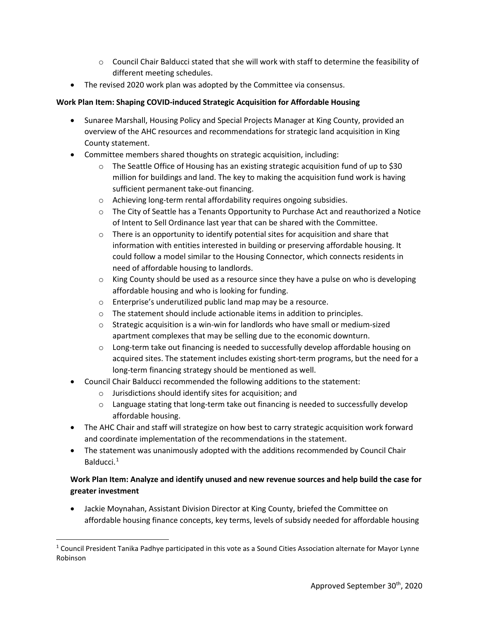- $\circ$  Council Chair Balducci stated that she will work with staff to determine the feasibility of different meeting schedules.
- The revised 2020 work plan was adopted by the Committee via consensus.

### **Work Plan Item: Shaping COVID-induced Strategic Acquisition for Affordable Housing**

- Sunaree Marshall, Housing Policy and Special Projects Manager at King County, provided an overview of the AHC resources and recommendations for strategic land acquisition in King County statement.
- Committee members shared thoughts on strategic acquisition, including:
	- $\circ$  The Seattle Office of Housing has an existing strategic acquisition fund of up to \$30 million for buildings and land. The key to making the acquisition fund work is having sufficient permanent take-out financing.
	- o Achieving long-term rental affordability requires ongoing subsidies.
	- $\circ$  The City of Seattle has a Tenants Opportunity to Purchase Act and reauthorized a Notice of Intent to Sell Ordinance last year that can be shared with the Committee.
	- o There is an opportunity to identify potential sites for acquisition and share that information with entities interested in building or preserving affordable housing. It could follow a model similar to the Housing Connector, which connects residents in need of affordable housing to landlords.
	- $\circ$  King County should be used as a resource since they have a pulse on who is developing affordable housing and who is looking for funding.
	- o Enterprise's underutilized public land map may be a resource.
	- o The statement should include actionable items in addition to principles.
	- $\circ$  Strategic acquisition is a win-win for landlords who have small or medium-sized apartment complexes that may be selling due to the economic downturn.
	- o Long-term take out financing is needed to successfully develop affordable housing on acquired sites. The statement includes existing short-term programs, but the need for a long-term financing strategy should be mentioned as well.
- Council Chair Balducci recommended the following additions to the statement:
	- o Jurisdictions should identify sites for acquisition; and
	- $\circ$  Language stating that long-term take out financing is needed to successfully develop affordable housing.
- The AHC Chair and staff will strategize on how best to carry strategic acquisition work forward and coordinate implementation of the recommendations in the statement.
- The statement was unanimously adopted with the additions recommended by Council Chair Balducci. [1](#page-1-0)

## **Work Plan Item: Analyze and identify unused and new revenue sources and help build the case for greater investment**

• Jackie Moynahan, Assistant Division Director at King County, briefed the Committee on affordable housing finance concepts, key terms, levels of subsidy needed for affordable housing

<span id="page-1-0"></span><sup>&</sup>lt;sup>1</sup> Council President Tanika Padhye participated in this vote as a Sound Cities Association alternate for Mayor Lynne Robinson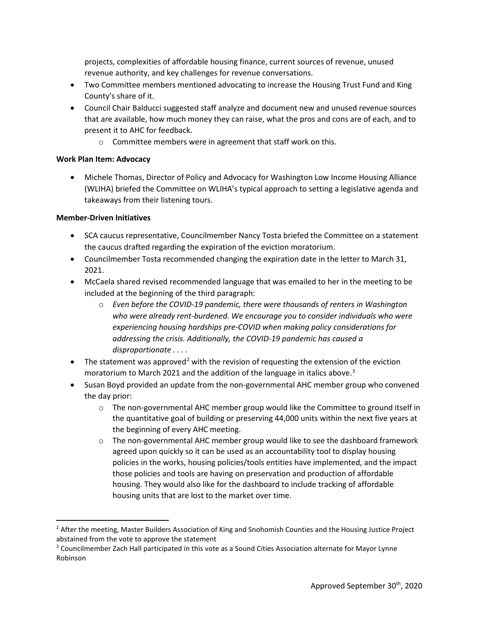projects, complexities of affordable housing finance, current sources of revenue, unused revenue authority, and key challenges for revenue conversations.

- Two Committee members mentioned advocating to increase the Housing Trust Fund and King County's share of it.
- Council Chair Balducci suggested staff analyze and document new and unused revenue sources that are available, how much money they can raise, what the pros and cons are of each, and to present it to AHC for feedback.
	- o Committee members were in agreement that staff work on this.

#### **Work Plan Item: Advocacy**

• Michele Thomas, Director of Policy and Advocacy for Washington Low Income Housing Alliance (WLIHA) briefed the Committee on WLIHA's typical approach to setting a legislative agenda and takeaways from their listening tours.

#### **Member-Driven Initiatives**

- SCA caucus representative, Councilmember Nancy Tosta briefed the Committee on a statement the caucus drafted regarding the expiration of the eviction moratorium.
- Councilmember Tosta recommended changing the expiration date in the letter to March 31, 2021.
- McCaela shared revised recommended language that was emailed to her in the meeting to be included at the beginning of the third paragraph:
	- o *Even before the COVID-19 pandemic, there were thousands of renters in Washington who were already rent-burdened. We encourage you to consider individuals who were experiencing housing hardships pre-COVID when making policy considerations for addressing the crisis. Additionally, the COVID-19 pandemic has caused a disproportionate . . . .*
- The statement was approved<sup>[2](#page-2-0)</sup> with the revision of requesting the extension of the eviction moratorium to March 2021 and the addition of the language in italics above. [3](#page-2-1)
- Susan Boyd provided an update from the non-governmental AHC member group who convened the day prior:
	- o The non-governmental AHC member group would like the Committee to ground itself in the quantitative goal of building or preserving 44,000 units within the next five years at the beginning of every AHC meeting.
	- o The non-governmental AHC member group would like to see the dashboard framework agreed upon quickly so it can be used as an accountability tool to display housing policies in the works, housing policies/tools entities have implemented, and the impact those policies and tools are having on preservation and production of affordable housing. They would also like for the dashboard to include tracking of affordable housing units that are lost to the market over time.

<span id="page-2-0"></span><sup>&</sup>lt;sup>2</sup> After the meeting, Master Builders Association of King and Snohomish Counties and the Housing Justice Project abstained from the vote to approve the statement

<span id="page-2-1"></span><sup>&</sup>lt;sup>3</sup> Councilmember Zach Hall participated in this vote as a Sound Cities Association alternate for Mayor Lynne Robinson